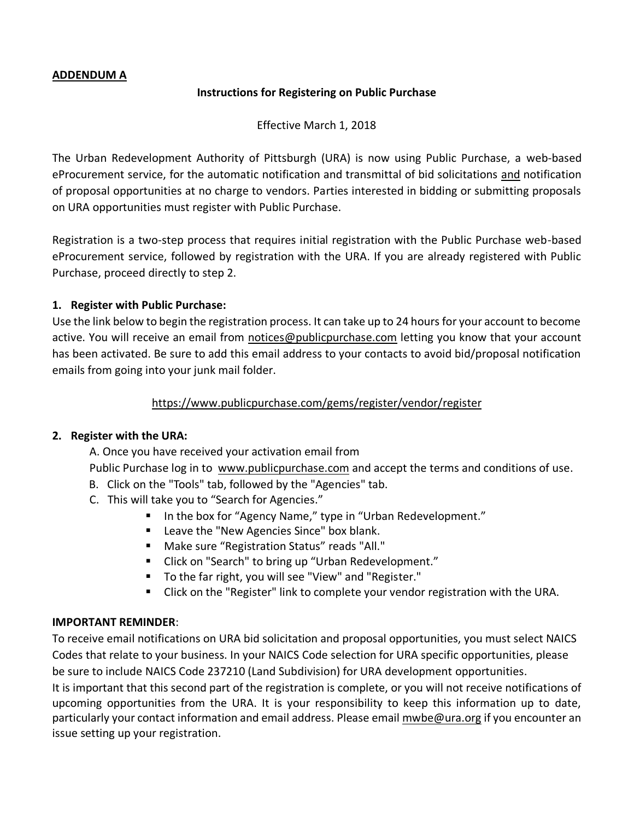## **ADDENDUM A**

#### **Instructions for Registering on Public Purchase**

Effective March 1, 2018

The Urban Redevelopment Authority of Pittsburgh (URA) is now using Public Purchase, a web-based eProcurement service, for the automatic notification and transmittal of bid solicitations and notification of proposal opportunities at no charge to vendors. Parties interested in bidding or submitting proposals on URA opportunities must register with Public Purchase.

Registration is a two-step process that requires initial registration with the Public Purchase web-based eProcurement service, followed by registration with the URA. If you are already registered with Public Purchase, proceed directly to step 2.

## **1. Register with Public Purchase:**

Use the link below to begin the registration process. It can take up to 24 hours for your account to become active. You will receive an email from [notices@publicpurchase.com](mailto:notices@publicpurchase.com) letting you know that your account has been activated. Be sure to add this email address to your contacts to avoid bid/proposal notification emails from going into your junk mail folder.

## <https://www.publicpurchase.com/gems/register/vendor/register>

## **2. Register with the URA:**

A. Once you have received your activation email from

Public Purchase log in to [www.publicpurchase.com](http://www.publicpurchase.com/) and accept the terms and conditions of use.

- B. Click on the "Tools" tab, followed by the "Agencies" tab.
- C. This will take you to "Search for Agencies."
	- In the box for "Agency Name," type in "Urban Redevelopment."
	- Leave the "New Agencies Since" box blank.
	- Make sure "Registration Status" reads "All."
	- Click on "Search" to bring up "Urban Redevelopment."
	- To the far right, you will see "View" and "Register."
	- Click on the "Register" link to complete your vendor registration with the URA.

## **IMPORTANT REMINDER**:

To receive email notifications on URA bid solicitation and proposal opportunities, you must select NAICS Codes that relate to your business. In your NAICS Code selection for URA specific opportunities, please be sure to include NAICS Code 237210 (Land Subdivision) for URA development opportunities.

It is important that this second part of the registration is complete, or you will not receive notifications of upcoming opportunities from the URA. It is your responsibility to keep this information up to date, particularly your contact information and email address. Please email [mwbe@ura.org](mailto:mwbe@ura.org) if you encounter an issue setting up your registration.